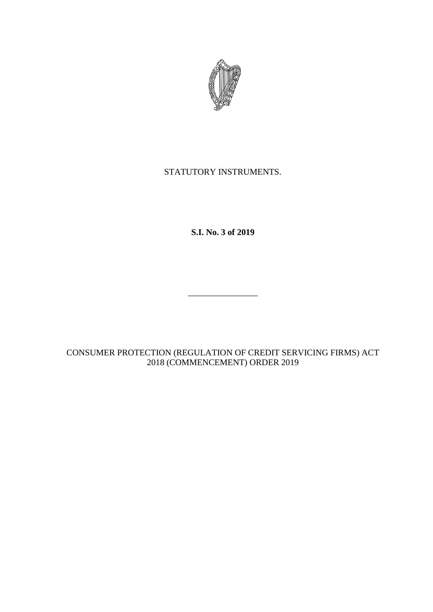

## STATUTORY INSTRUMENTS.

**S.I. No. 3 of 2019**

\_\_\_\_\_\_\_\_\_\_\_\_\_\_\_\_

CONSUMER PROTECTION (REGULATION OF CREDIT SERVICING FIRMS) ACT 2018 (COMMENCEMENT) ORDER 2019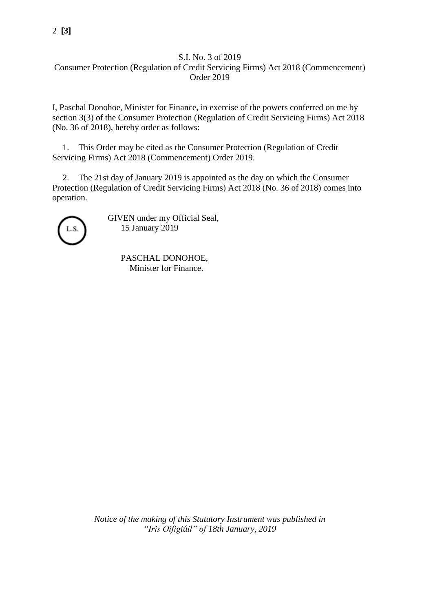## 2 **[3]**

## S.I. No. 3 of 2019 Consumer Protection (Regulation of Credit Servicing Firms) Act 2018 (Commencement) Order 2019

I, Paschal Donohoe, Minister for Finance, in exercise of the powers conferred on me by section 3(3) of the Consumer Protection (Regulation of Credit Servicing Firms) Act 2018 (No. 36 of 2018), hereby order as follows:

1. This Order may be cited as the Consumer Protection (Regulation of Credit Servicing Firms) Act 2018 (Commencement) Order 2019.

2. The 21st day of January 2019 is appointed as the day on which the Consumer Protection (Regulation of Credit Servicing Firms) Act 2018 (No. 36 of 2018) comes into operation.



GIVEN under my Official Seal, 15 January 2019

> PASCHAL DONOHOE, Minister for Finance.

*Notice of the making of this Statutory Instrument was published in "Iris Oifigiúil" of 18th January, 2019*